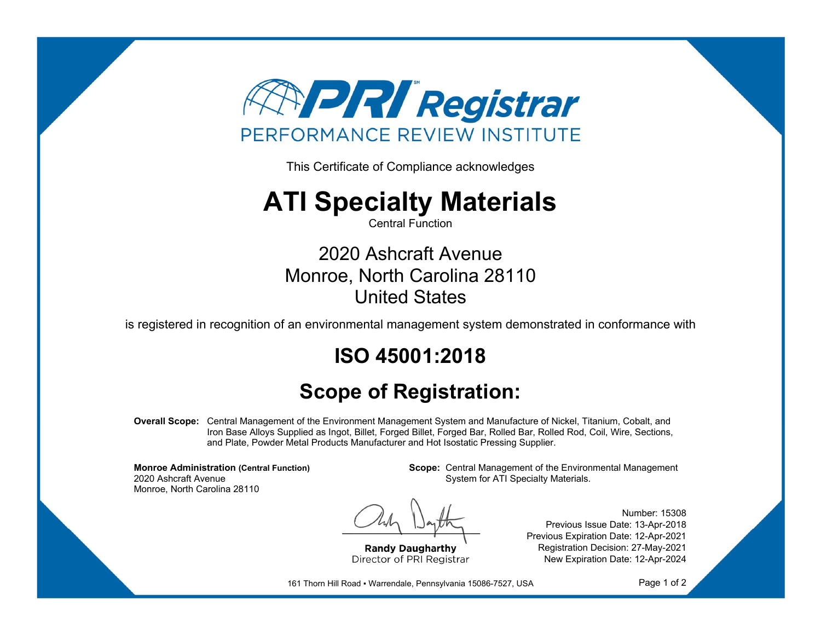

This Certificate of Compliance acknowledges

## **ATI Specialty Materials**

Central Function

2020 Ashcraft Avenue Monroe, North Carolina 28110 United States

is registered in recognition of an environmental management system demonstrated in conformance with

## **ISO 45001:2018**

## **Scope of Registration:**

**Overall Scope:** Central Management of the Environment Management System and Manufacture of Nickel, Titanium, Cobalt, and Iron Base Alloys Supplied as Ingot, Billet, Forged Billet, Forged Bar, Rolled Bar, Rolled Rod, Coil, Wire, Sections, and Plate, Powder Metal Products Manufacturer and Hot Isostatic Pressing Supplier.

**Monroe Administration (Central Function)** 2020 Ashcraft Avenue Monroe, North Carolina 28110

**Scope:** Central Management of the Environmental Management System for ATI Specialty Materials.

**Randy Daugharthy** Director of PRI Registrar

Number: 15308 Previous Issue Date: 13-Apr-2018 Previous Expiration Date: 12-Apr-2021 Registration Decision: 27-May-2021 New Expiration Date: 12-Apr-2024

161 Thorn Hill Road · Warrendale, Pennsylvania 15086-7527, USA

Page 1 of 2